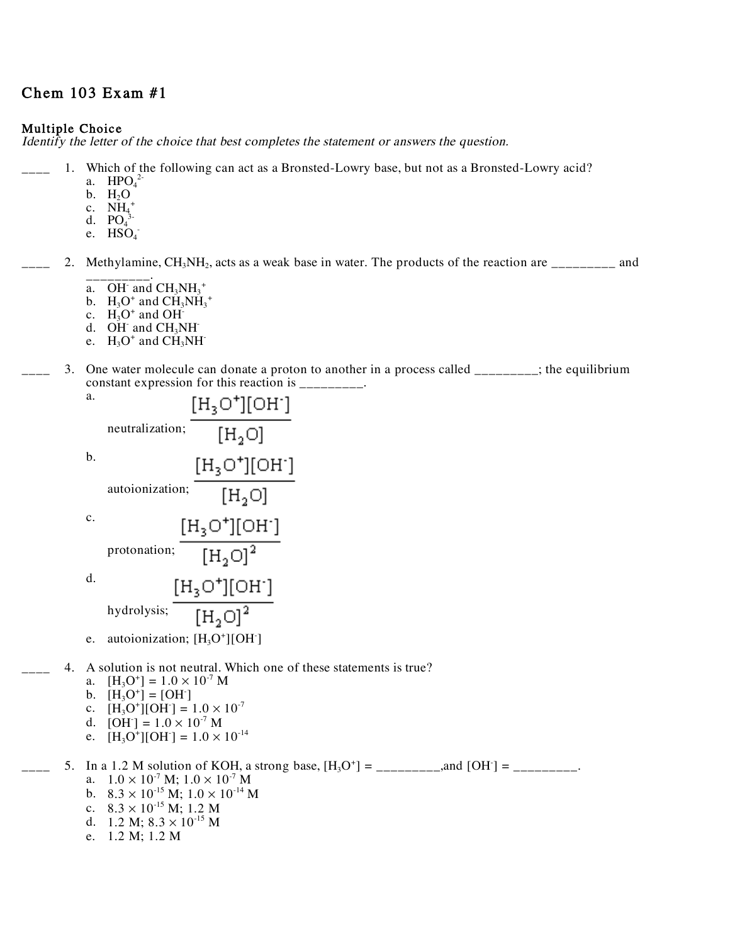# Chem 103 Exam #1

### Multiple Choice

Identify the letter of the choice that best completes the statement or answers the question.

- 1. Which of the following can act as a Bronsted-Lowry base, but not as a Bronsted-Lowry acid?
	- a.  $HPO<sub>4</sub><sup>2</sup>$
	- b.  $H_2O$
	- c.  $\overline{NH}_{4}^+$
	- d.  $PO_4^3$
	- e.  $HSO<sub>4</sub>$

2. Methylamine,  $CH_3NH_2$ , acts as a weak base in water. The products of the reaction are  $\frac{1}{2}$  and

- \_\_\_\_\_\_\_\_\_. a. OH and  $CH_3NH_3^+$
- b.  $H_3O^+$  and  $CH_3NH_3^+$
- c.  $H_3O^+$  and OH<sup>-</sup>
- d. OH and  $CH<sub>3</sub>NH<sub>-</sub>$
- e.  $H_3O^+$  and  $CH_3NH^-$
- 3. One water molecule can donate a proton to another in a process called \_\_\_\_\_\_\_\_; the equilibrium constant expression for this reaction is  $\frac{1}{1}$

| а. |                                  | [H3O*][OH <sup>.</sup> ]        |
|----|----------------------------------|---------------------------------|
|    | neutralization:                  | [H <sub>2</sub> O]              |
| b. |                                  | [H3O*][OH <sup>.</sup> ]        |
|    | autoionization;                  | [H <sub>2</sub> O]              |
| c. | [H3O*][OH <sup>.</sup> ]         |                                 |
|    | protonation;                     | [H <sub>2</sub> O] <sup>2</sup> |
| d. | [H3O*][OH <sup>.</sup> ]         |                                 |
|    | hydrolysis;                      | $[H_2O]^2$                      |
| e. | autoionization; $[H_3O^+][OH^-]$ |                                 |

- 4. A solution is not neutral. Which one of these statements is true?
	- a.  $[H_3O^+] = 1.0 \times 10^{-7}$  M
	- b.  $[H_3O^+] = [OH^-]$
	- c.  $[H_3O^+][OH^-] = 1.0 \times 10^{-7}$
	- d.  $[OH^-] = 1.0 \times 10^{-7}$  M
	- e.  $[H_3O^+][OH^-] = 1.0 \times 10^{-14}$
- $\Box$  5. In a 1.2 M solution of KOH, a strong base,  $[H_3O^+] = \Box$  and  $[OH^-] = \Box$ a.  $1.0 \times 10^{-7}$  M;  $1.0 \times 10^{-7}$  M b.  $8.3 \times 10^{-15}$  M;  $1.0 \times 10^{-14}$  M c.  $8.3 \times 10^{-15}$  M; 1.2 M d. 1.2 M;  $8.3 \times 10^{-15}$  M
	- e. 1.2 M; 1.2 M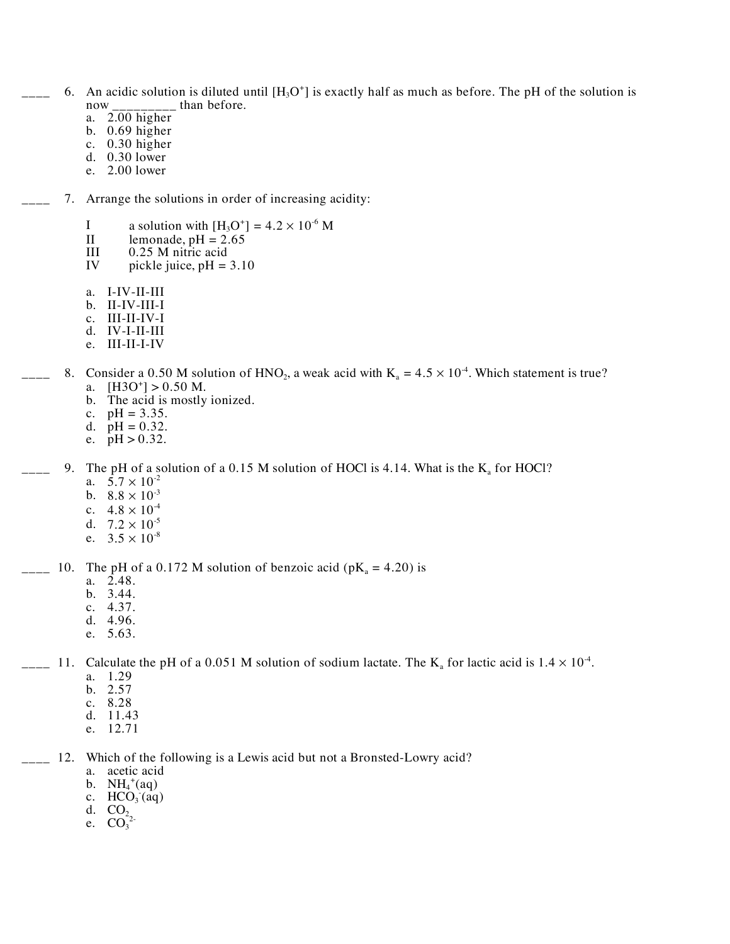- $\frac{1}{2}$  6. An acidic solution is diluted until  $[H_3O^+]$  is exactly half as much as before. The pH of the solution is now \_\_\_\_\_\_\_\_\_ than before.
	- a. 2.00 higher
	- b. 0.69 higher
	- c. 0.30 higher
	- d. 0.30 lower
	- e. 2.00 lower
	- 7. Arrange the solutions in order of increasing acidity:
		- I a solution with  $[H_3O^+] = 4.2 \times 10^{-6}$  M
		- II lemonade, pH =  $2.65$ <br>III 0.25 M nitric acid
		- 0.25 M nitric acid
		- IV pickle juice,  $pH = 3.10$
		- a. I-IV-II-III
		- b. II-IV-III-I
		- c. III-II-IV-I
		- d. IV-I-II-III
		- e. III-II-I-IV
- $\mu_{\text{max}}$  8. Consider a 0.50 M solution of HNO<sub>2</sub>, a weak acid with K<sub>a</sub> = 4.5  $\times$  10<sup>-4</sup>. Which statement is true? a.  $[H3O^+] > 0.50 M$ .
	- b. The acid is mostly ionized.
	- c.  $pH = 3.35$ .
	- d.  $pH = 0.32$ .
	- e.  $pH > 0.32$ .
	- 9. The pH of a solution of a 0.15 M solution of HOCl is 4.14. What is the  $K_a$  for HOCl?
		- a.  $5.7 \times 10^{-2}$
		- b.  $8.8 \times 10^{-3}$
		- c.  $4.8 \times 10^{-4}$
		- d.  $7.2 \times 10^{-5}$
		- e.  $3.5 \times 10^{-8}$

#### $\mu$ <sub>2</sub> 10. The pH of a 0.172 M solution of benzoic acid (pK<sub>a</sub> = 4.20) is

- a. 2.48.
- b. 3.44.
- c. 4.37.<br>d. 4.96.
- 
- e. 5.63.

## $\mu_{\text{max}}$  11. Calculate the pH of a 0.051 M solution of sodium lactate. The K<sub>a</sub> for lactic acid is 1.4  $\times$  10<sup>-4</sup>.

- a. 1.29
- b. 2.57
- c. 8.28
- d. 11.43
- e. 12.71

## <sub>\_\_\_</sub> 12. Which of the following is a Lewis acid but not a Bronsted-Lowry acid?

- a. acetic acid
- b.  $NH_4^+(aq)$
- c.  $HCO<sub>3</sub>(aq)$
- d.  $CO<sub>2</sub>$
- e.  $CO_3^{2}$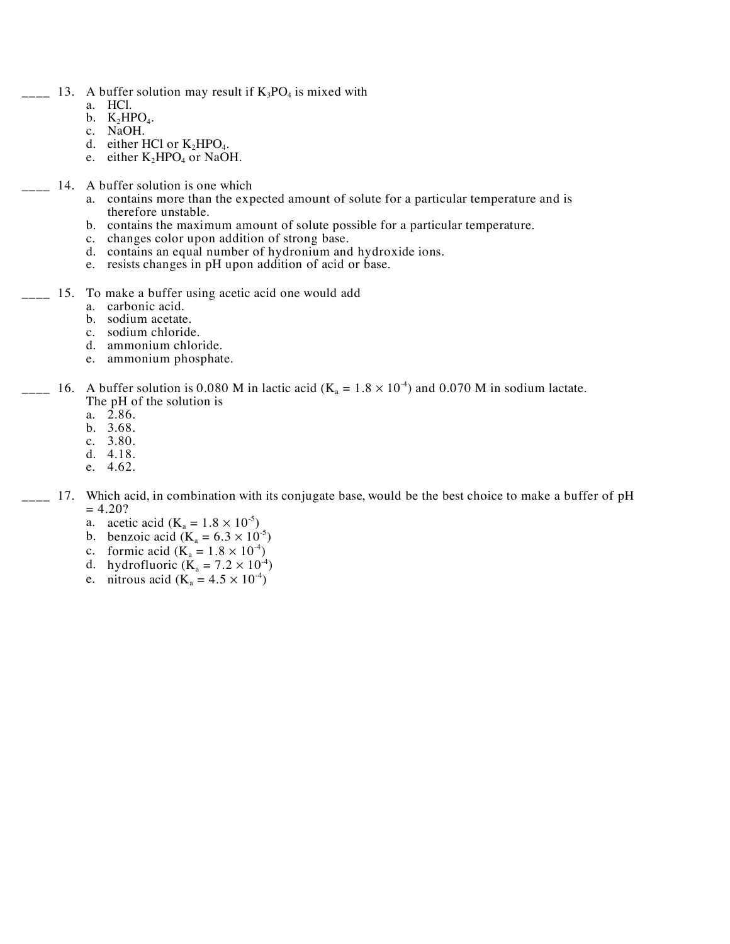- $\frac{1}{2}$  13. A buffer solution may result if  $K_3PO_4$  is mixed with
	- a. HCl.
	- b.  $K_2HPO_4$ .<br>c. NaOH.
	-
	- d. either HCl or  $K_2HPO_4$ .
	- e. either  $K_2HPO_4$  or NaOH.
	- 14. A buffer solution is one which
		- a. contains more than the expected amount of solute for a particular temperature and is therefore unstable.
		- b. contains the maximum amount of solute possible for a particular temperature.
		- c. changes color upon addition of strong base.
		- d. contains an equal number of hydronium and hydroxide ions.
		- e. resists changes in pH upon addition of acid or base.
- $_{\text{---}}$  15. To make a buffer using acetic acid one would add
	- a. carbonic acid.
	- b. sodium acetate.
	- c. sodium chloride.
	- d. ammonium chloride.
	- e. ammonium phosphate.
- $\mu_{\text{max}}$  16. A buffer solution is 0.080 M in lactic acid (K<sub>a</sub> = 1.8  $\times$  10<sup>-4</sup>) and 0.070 M in sodium lactate. The pH of the solution is
	- a.  $2.86$ .
	- b. 3.68.
	- c. 3.80.
	- d. 4.18.
	- e. 4.62.
- \_\_\_ 17. Which acid, in combination with its conjugate base, would be the best choice to make a buffer of pH  $= 4.20?$ 
	- a. acetic acid ( $K_a = 1.8 \times 10^{-5}$ )
	- b. benzoic acid  $(K_a = 6.3 \times 10^{-5})$
	- c. formic acid ( $K_a = 1.8 \times 10^{-4}$ )
	- d. hydrofluoric  $(K_a = 7.2 \times 10^{-4})$
	- e. nitrous acid ( $K_a = 4.5 \times 10^{-4}$ )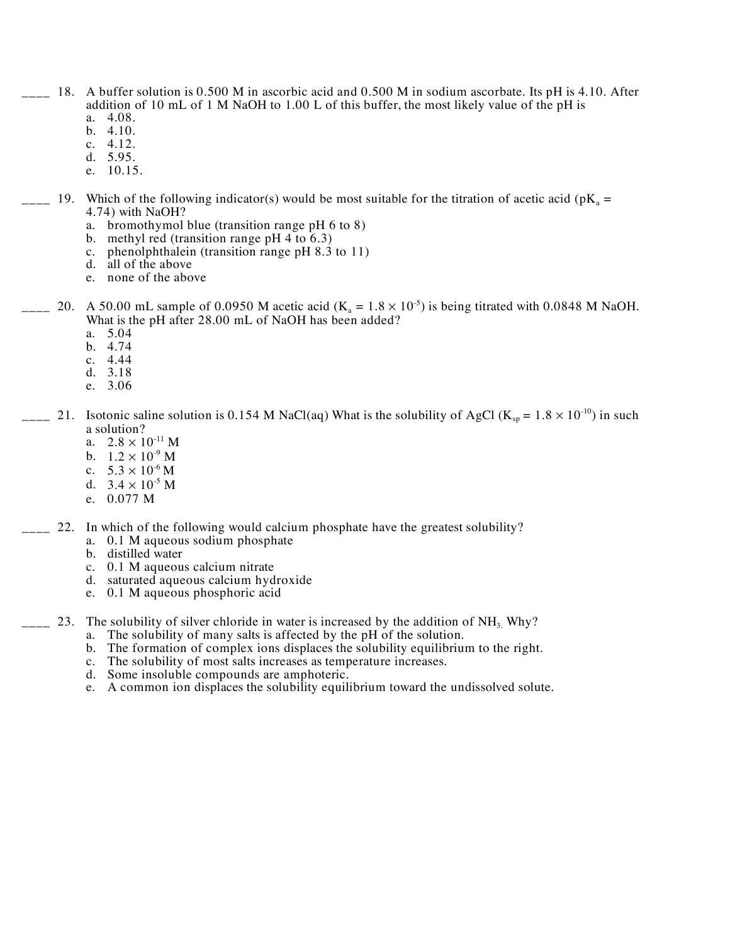- $_{\text{---}}$  18. A buffer solution is 0.500 M in ascorbic acid and 0.500 M in sodium ascorbate. Its pH is 4.10. After addition of 10 mL of 1 M NaOH to 1.00 L of this buffer, the most likely value of the pH is
	- a. 4.08. b. 4.10.
	- c. 4.12.
	- d. 5.95.
	- e. 10.15.
- $\mu$  19. Which of the following indicator(s) would be most suitable for the titration of acetic acid (pK<sub>a</sub> = 4.74) with NaOH?
	- a. bromothymol blue (transition range pH 6 to 8)
	- b. methyl red (transition range pH  $4$  to  $6.3$ )
	- c. phenolphthalein (transition range pH 8.3 to 11)
	- d. all of the above
	- e. none of the above
- $\mu_{\text{max}}$  20. A 50.00 mL sample of 0.0950 M acetic acid (K<sub>a</sub> = 1.8  $\times$  10<sup>-5</sup>) is being titrated with 0.0848 M NaOH. What is the pH after 28.00 mL of NaOH has been added?
	- a. 5.04
	- b. 4.74
	- c. 4.44
	- d. 3.18
	- e. 3.06
- $\frac{1}{2}$  21. Isotonic saline solution is 0.154 M NaCl(aq) What is the solubility of AgCl (K<sub>sp</sub> = 1.8  $\times$  10<sup>-10</sup>) in such a solution?
	- a.  $2.8 \times 10^{-11}$  M
	- b.  $1.2 \times 10^{-9}$  M
	- c.  $5.3 \times 10^{-6}$  M
	- d.  $3.4 \times 10^{-5}$  M
	- e. 0.077 M
	- 22. In which of the following would calcium phosphate have the greatest solubility?
		- a. 0.1 M aqueous sodium phosphate
		- b. distilled water
		- c. 0.1 M aqueous calcium nitrate
		- d. saturated aqueous calcium hydroxide
		- e. 0.1 M aqueous phosphoric acid
- $\frac{1}{2}$  23. The solubility of silver chloride in water is increased by the addition of NH<sub>3.</sub> Why?
	- a. The solubility of many salts is affected by the pH of the solution.
	- b. The formation of complex ions displaces the solubility equilibrium to the right.<br>c. The solubility of most salts increases as temperature increases.
	- The solubility of most salts increases as temperature increases.
	- d. Some insoluble compounds are amphoteric.
	- e. A common ion displaces the solubility equilibrium toward the undissolved solute.